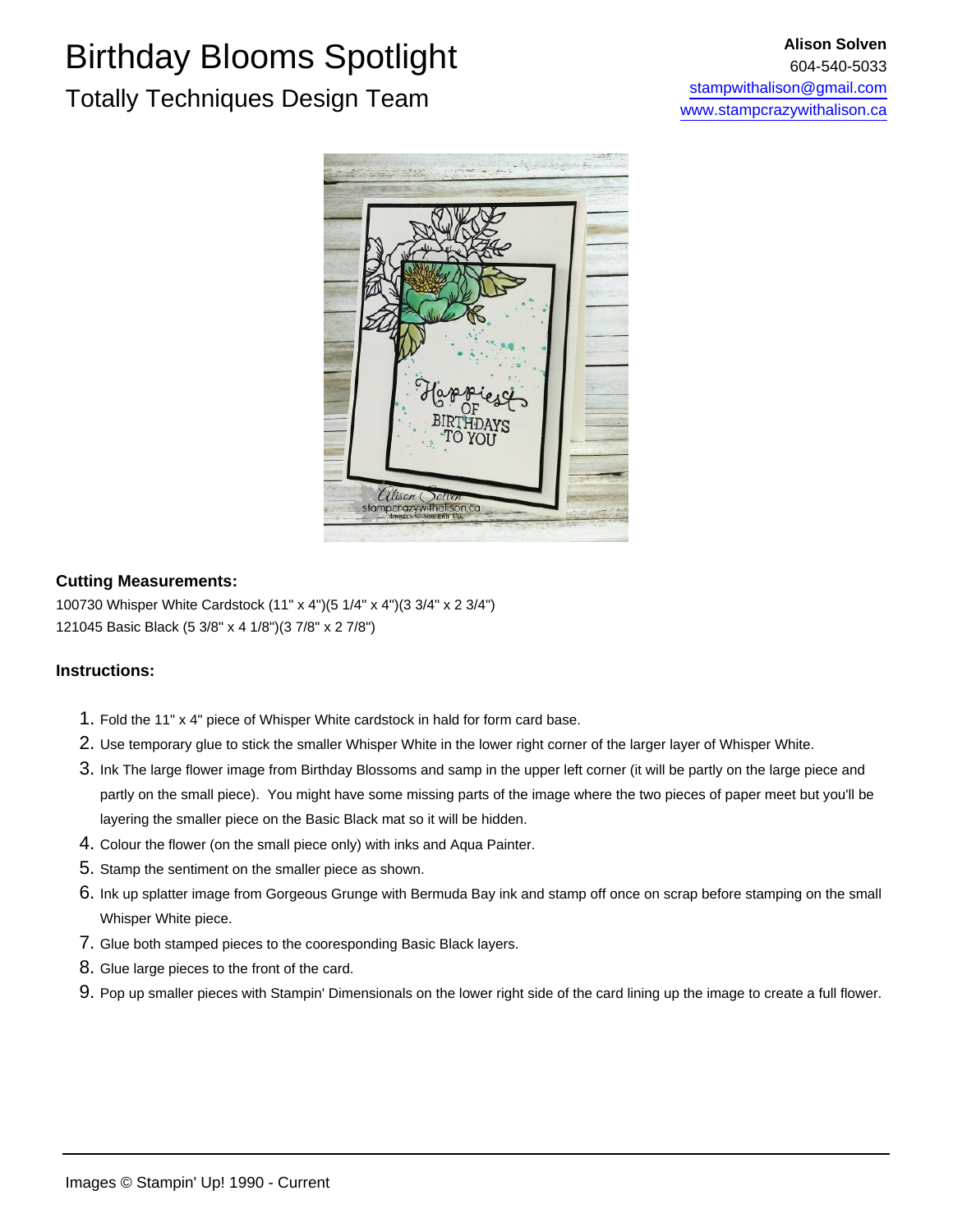### Birthday Blooms Spotlight Totally Techniques Design Team



#### **Cutting Measurements:**

100730 Whisper White Cardstock (11" x 4")(5 1/4" x 4")(3 3/4" x 2 3/4") 121045 Basic Black (5 3/8" x 4 1/8")(3 7/8" x 2 7/8")

#### **Instructions:**

- 1. Fold the 11" x 4" piece of Whisper White cardstock in hald for form card base.
- 2. Use temporary glue to stick the smaller Whisper White in the lower right corner of the larger layer of Whisper White.
- 3. Ink The large flower image from Birthday Blossoms and samp in the upper left corner (it will be partly on the large piece and partly on the small piece). You might have some missing parts of the image where the two pieces of paper meet but you'll be layering the smaller piece on the Basic Black mat so it will be hidden.
- 4. Colour the flower (on the small piece only) with inks and Aqua Painter.
- 5. Stamp the sentiment on the smaller piece as shown.
- 6. Ink up splatter image from Gorgeous Grunge with Bermuda Bay ink and stamp off once on scrap before stamping on the small Whisper White piece.
- 7. Glue both stamped pieces to the cooresponding Basic Black layers.
- 8. Glue large pieces to the front of the card.
- 9. Pop up smaller pieces with Stampin' Dimensionals on the lower right side of the card lining up the image to create a full flower.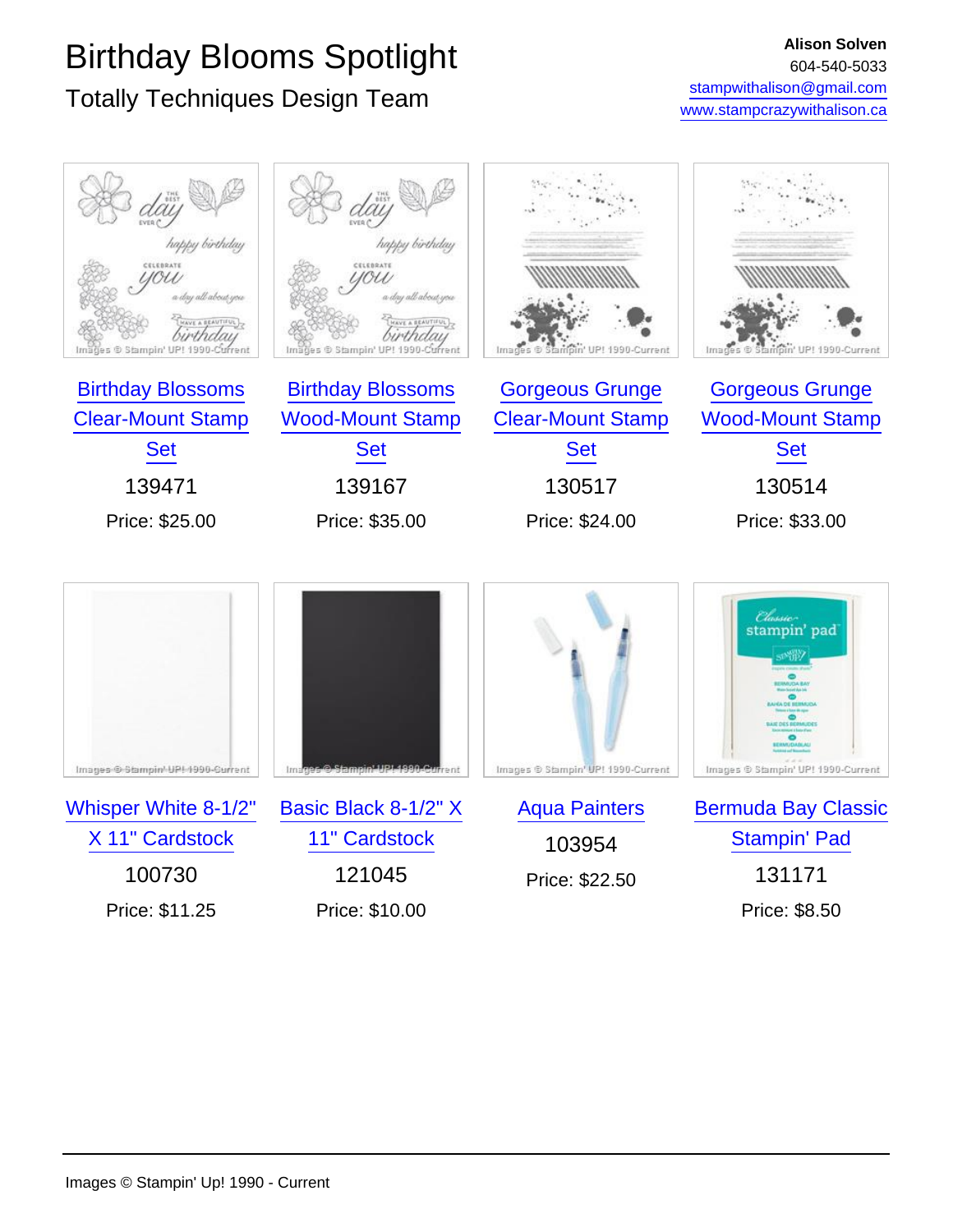## Birthday Blooms Spotlight

### Totally Techniques Design Team